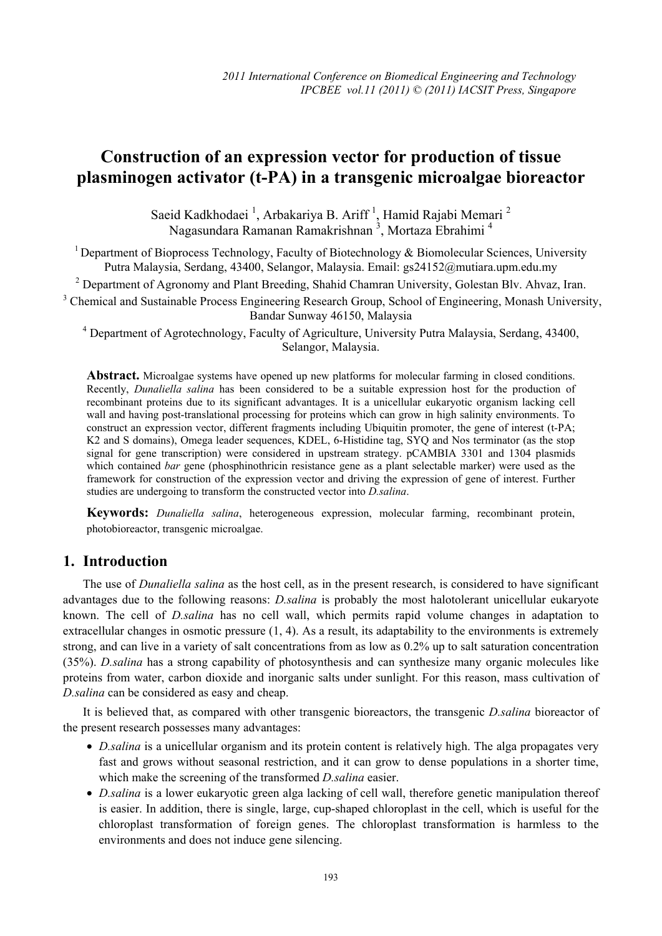# **Construction of an expression vector for production of tissue plasminogen activator (t-PA) in a transgenic microalgae bioreactor**

Saeid Kadkhodaei<sup>1</sup>, Arbakariya B. Ariff<sup>1</sup>, Hamid Rajabi Memari<sup>2</sup> Nagasundara Ramanan Ramakrishnan<sup>3</sup>, Mortaza Ebrahimi<sup>4</sup>

<sup>1</sup> Department of Bioprocess Technology, Faculty of Biotechnology & Biomolecular Sciences, University Putra Malaysia, Serdang, 43400, Selangor, Malaysia. Email: gs24152@mutiara.upm.edu.my

<sup>2</sup> Department of Agronomy and Plant Breeding, Shahid Chamran University, Golestan Blv. Ahvaz, Iran.

<sup>3</sup> Chemical and Sustainable Process Engineering Research Group, School of Engineering, Monash University, Bandar Sunway 46150, Malaysia

<sup>4</sup> Department of Agrotechnology, Faculty of Agriculture, University Putra Malaysia, Serdang, 43400, Selangor, Malaysia.

**Abstract.** Microalgae systems have opened up new platforms for molecular farming in closed conditions. Recently, *Dunaliella salina* has been considered to be a suitable expression host for the production of recombinant proteins due to its significant advantages. It is a unicellular eukaryotic organism lacking cell wall and having post-translational processing for proteins which can grow in high salinity environments. To construct an expression vector, different fragments including Ubiquitin promoter, the gene of interest (t-PA; K2 and S domains), Omega leader sequences, KDEL, 6-Histidine tag, SYQ and Nos terminator (as the stop signal for gene transcription) were considered in upstream strategy. pCAMBIA 3301 and 1304 plasmids which contained *bar* gene (phosphinothricin resistance gene as a plant selectable marker) were used as the framework for construction of the expression vector and driving the expression of gene of interest. Further studies are undergoing to transform the constructed vector into *D.salina*.

**Keywords:** *Dunaliella salina*, heterogeneous expression, molecular farming, recombinant protein, photobioreactor, transgenic microalgae.

## **1. Introduction**

The use of *Dunaliella salina* as the host cell, as in the present research, is considered to have significant advantages due to the following reasons: *D.salina* is probably the most halotolerant unicellular eukaryote known. The cell of *D.salina* has no cell wall, which permits rapid volume changes in adaptation to extracellular changes in osmotic pressure (1, 4). As a result, its adaptability to the environments is extremely strong, and can live in a variety of salt concentrations from as low as 0.2% up to salt saturation concentration (35%). *D.salina* has a strong capability of photosynthesis and can synthesize many organic molecules like proteins from water, carbon dioxide and inorganic salts under sunlight. For this reason, mass cultivation of *D.salina* can be considered as easy and cheap.

It is believed that, as compared with other transgenic bioreactors, the transgenic *D.salina* bioreactor of the present research possesses many advantages:

- *D.salina* is a unicellular organism and its protein content is relatively high. The alga propagates very fast and grows without seasonal restriction, and it can grow to dense populations in a shorter time, which make the screening of the transformed *D.salina* easier.
- *D.salina* is a lower eukaryotic green alga lacking of cell wall, therefore genetic manipulation thereof is easier. In addition, there is single, large, cup-shaped chloroplast in the cell, which is useful for the chloroplast transformation of foreign genes. The chloroplast transformation is harmless to the environments and does not induce gene silencing.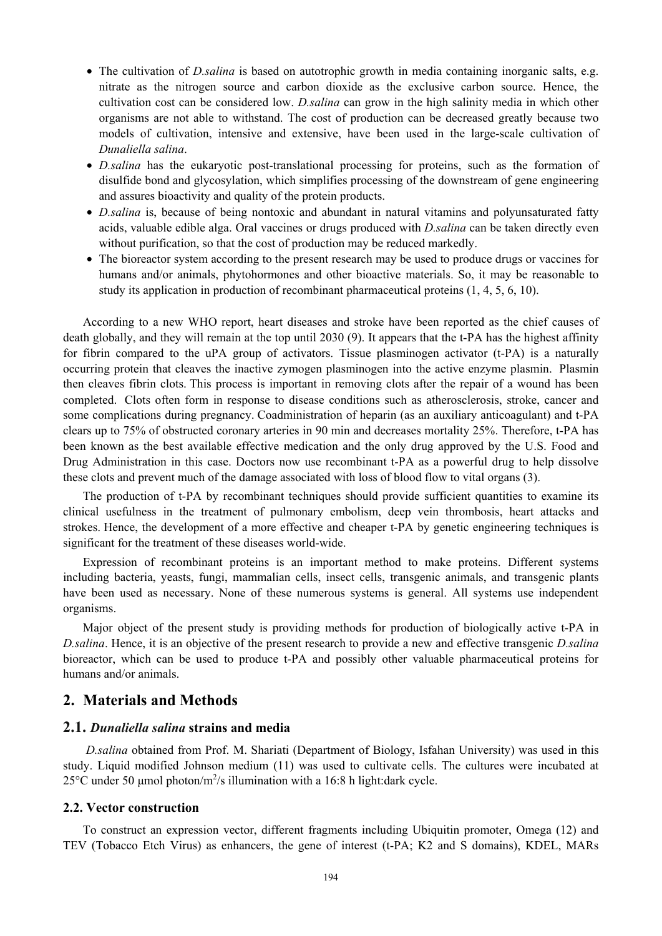- The cultivation of *D.salina* is based on autotrophic growth in media containing inorganic salts, e.g. nitrate as the nitrogen source and carbon dioxide as the exclusive carbon source. Hence, the cultivation cost can be considered low. *D.salina* can grow in the high salinity media in which other organisms are not able to withstand. The cost of production can be decreased greatly because two models of cultivation, intensive and extensive, have been used in the large-scale cultivation of *Dunaliella salina*.
- *D.salina* has the eukaryotic post-translational processing for proteins, such as the formation of disulfide bond and glycosylation, which simplifies processing of the downstream of gene engineering and assures bioactivity and quality of the protein products.
- *D.salina* is, because of being nontoxic and abundant in natural vitamins and polyunsaturated fatty acids, valuable edible alga. Oral vaccines or drugs produced with *D.salina* can be taken directly even without purification, so that the cost of production may be reduced markedly.
- The bioreactor system according to the present research may be used to produce drugs or vaccines for humans and/or animals, phytohormones and other bioactive materials. So, it may be reasonable to study its application in production of recombinant pharmaceutical proteins (1, 4, 5, 6, 10).

According to a new WHO report, heart diseases and stroke have been reported as the chief causes of death globally, and they will remain at the top until 2030 (9). It appears that the t-PA has the highest affinity for fibrin compared to the uPA group of activators. Tissue plasminogen activator (t-PA) is a naturally occurring protein that cleaves the inactive zymogen plasminogen into the active enzyme plasmin. Plasmin then cleaves fibrin clots. This process is important in removing clots after the repair of a wound has been completed. Clots often form in response to disease conditions such as atherosclerosis, stroke, cancer and some complications during pregnancy. Coadministration of heparin (as an auxiliary anticoagulant) and t-PA clears up to 75% of obstructed coronary arteries in 90 min and decreases mortality 25%. Therefore, t-PA has been known as the best available effective medication and the only drug approved by the U.S. Food and Drug Administration in this case. Doctors now use recombinant t-PA as a powerful drug to help dissolve these clots and prevent much of the damage associated with loss of blood flow to vital organs (3).

The production of t-PA by recombinant techniques should provide sufficient quantities to examine its clinical usefulness in the treatment of pulmonary embolism, deep vein thrombosis, heart attacks and strokes. Hence, the development of a more effective and cheaper t-PA by genetic engineering techniques is significant for the treatment of these diseases world-wide.

Expression of recombinant proteins is an important method to make proteins. Different systems including bacteria, yeasts, fungi, mammalian cells, insect cells, transgenic animals, and transgenic plants have been used as necessary. None of these numerous systems is general. All systems use independent organisms.

Major object of the present study is providing methods for production of biologically active t-PA in *D.salina*. Hence, it is an objective of the present research to provide a new and effective transgenic *D.salina* bioreactor, which can be used to produce t-PA and possibly other valuable pharmaceutical proteins for humans and/or animals.

### **2. Materials and Methods**

#### **2.1.** *Dunaliella salina* **strains and media**

 *D.salina* obtained from Prof. M. Shariati (Department of Biology, Isfahan University) was used in this study. Liquid modified Johnson medium (11) was used to cultivate cells. The cultures were incubated at 25 °C under 50 µmol photon/m<sup>2</sup>/s illumination with a 16:8 h light:dark cycle.

#### **2.2. Vector construction**

To construct an expression vector, different fragments including Ubiquitin promoter, Omega (12) and TEV (Tobacco Etch Virus) as enhancers, the gene of interest (t-PA; K2 and S domains), KDEL, MARs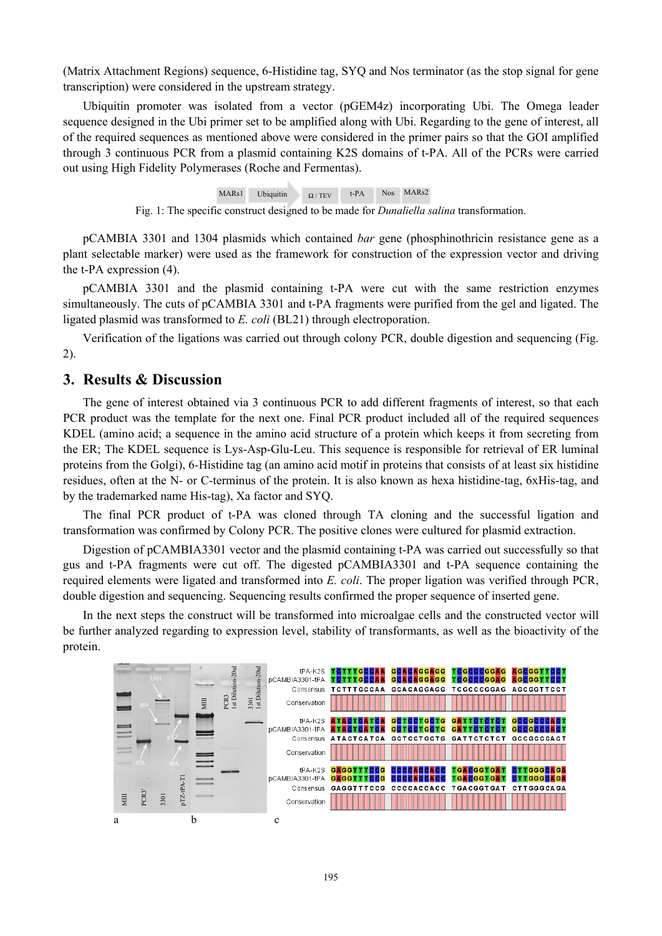(Matrix Attachment Regions) sequence, 6-Histidine tag, SYQ and Nos terminator (as the stop signal for gene transcription) were considered in the upstream strategy.

Ubiquitin promoter was isolated from a vector (pGEM4z) incorporating Ubi. The Omega leader sequence designed in the Ubi primer set to be amplified along with Ubi. Regarding to the gene of interest, all of the required sequences as mentioned above were considered in the primer pairs so that the GOI amplified through 3 continuous PCR from a plasmid containing K2S domains of t-PA. All of the PCRs were carried out using High Fidelity Polymerases (Roche and Fermentas).

MARs1 Ubiquitin  $\Omega / TEV$  t-PA Nos MARs2

Fig. 1: The specific construct designed to be made for *Dunaliella salina* transformation.

pCAMBIA 3301 and 1304 plasmids which contained *bar* gene (phosphinothricin resistance gene as a plant selectable marker) were used as the framework for construction of the expression vector and driving the t-PA expression (4).

pCAMBIA 3301 and the plasmid containing t-PA were cut with the same restriction enzymes simultaneously. The cuts of pCAMBIA 3301 and t-PA fragments were purified from the gel and ligated. The ligated plasmid was transformed to *E. coli* (BL21) through electroporation.

Verification of the ligations was carried out through colony PCR, double digestion and sequencing (Fig. 2).

### **3. Results & Discussion**

The gene of interest obtained via 3 continuous PCR to add different fragments of interest, so that each PCR product was the template for the next one. Final PCR product included all of the required sequences KDEL (amino acid; a sequence in the amino acid structure of a protein which keeps it from secreting from the ER; The KDEL sequence is Lys-Asp-Glu-Leu. This sequence is responsible for retrieval of ER luminal proteins from the Golgi), 6-Histidine tag (an amino acid motif in proteins that consists of at least six histidine residues, often at the N- or C-terminus of the protein. It is also known as hexa histidine-tag, 6xHis-tag, and by the trademarked name His-tag), Xa factor and SYQ.

The final PCR product of t-PA was cloned through TA cloning and the successful ligation and transformation was confirmed by Colony PCR. The positive clones were cultured for plasmid extraction.

Digestion of pCAMBIA3301 vector and the plasmid containing t-PA was carried out successfully so that gus and t-PA fragments were cut off. The digested pCAMBIA3301 and t-PA sequence containing the required elements were ligated and transformed into *E. coli*. The proper ligation was verified through PCR, double digestion and sequencing. Sequencing results confirmed the proper sequence of inserted gene.

In the next steps the construct will be transformed into microalgae cells and the constructed vector will be further analyzed regarding to expression level, stability of transformants, as well as the bioactivity of the protein.